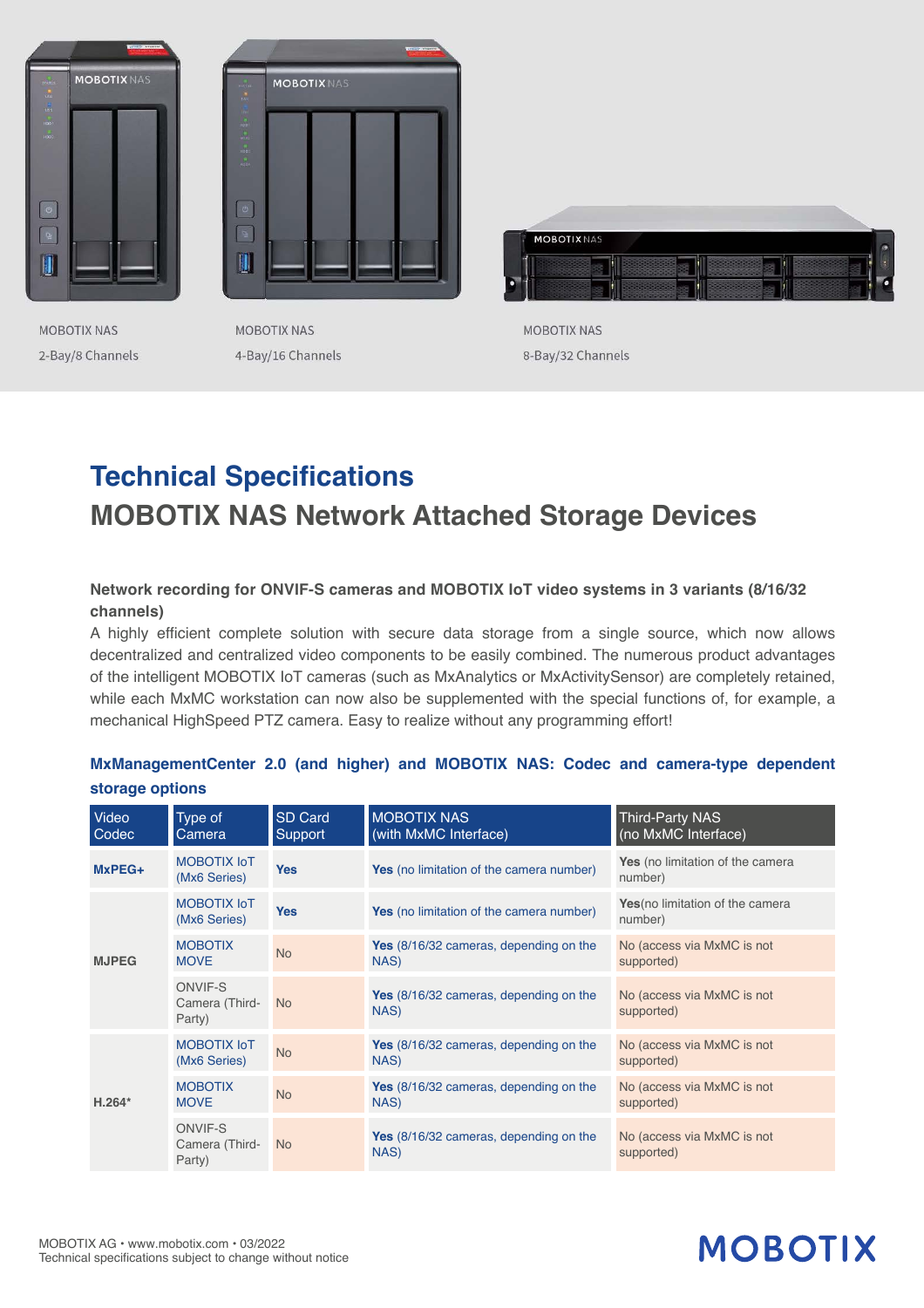

**MOBOTIX NAS** 2-Bay/8 Channels



**MOBOTIX NAS** 4-Bay/16 Channels



MOBOTIX NAS 8-Bay/32 Channels

## **Technical Specifications MOBOTIX NAS Network Attached Storage Devices**

### **Network recording for ONVIF-S cameras and MOBOTIX IoT video systems in 3 variants (8/16/32 channels)**

A highly efficient complete solution with secure data storage from a single source, which now allows decentralized and centralized video components to be easily combined. The numerous product advantages of the intelligent MOBOTIX IoT cameras (such as MxAnalytics or MxActivitySensor) are completely retained, while each MxMC workstation can now also be supplemented with the special functions of, for example, a mechanical HighSpeed PTZ camera. Easy to realize without any programming effort!

| Video<br>Codec | Type of<br>Camera                          | SD Card<br>Support | <b>MOBOTIX NAS</b><br>(with MxMC Interface)           | <b>Third-Party NAS</b><br>(no MxMC Interface) |
|----------------|--------------------------------------------|--------------------|-------------------------------------------------------|-----------------------------------------------|
| MxPEG+         | MOBOTIX IoT<br>(Mx6 Series)                | <b>Yes</b>         | Yes (no limitation of the camera number)              | Yes (no limitation of the camera<br>number)   |
| <b>MJPEG</b>   | MOBOTIX IoT<br>(Mx6 Series)                | <b>Yes</b>         | Yes (no limitation of the camera number)              | Yes (no limitation of the camera<br>number)   |
|                | <b>MOBOTIX</b><br><b>MOVE</b>              | <b>No</b>          | <b>Yes</b> (8/16/32 cameras, depending on the<br>NAS) | No (access via MxMC is not<br>supported)      |
|                | <b>ONVIF-S</b><br>Camera (Third-<br>Party) | <b>No</b>          | <b>Yes</b> (8/16/32 cameras, depending on the<br>NAS) | No (access via MxMC is not<br>supported)      |
| $H.264*$       | <b>MOBOTIX IoT</b><br>(Mx6 Series)         | <b>No</b>          | <b>Yes</b> (8/16/32 cameras, depending on the<br>NAS) | No (access via MxMC is not<br>supported)      |
|                | <b>MOBOTIX</b><br><b>MOVE</b>              | <b>No</b>          | Yes (8/16/32 cameras, depending on the<br>NAS)        | No (access via MxMC is not<br>supported)      |
|                | <b>ONVIF-S</b><br>Camera (Third-<br>Party) | N <sub>o</sub>     | <b>Yes</b> (8/16/32 cameras, depending on the<br>NAS) | No (access via MxMC is not<br>supported)      |

## **MxManagementCenter 2.0 (and higher) and MOBOTIX NAS: Codec and camera-type dependent storage options**

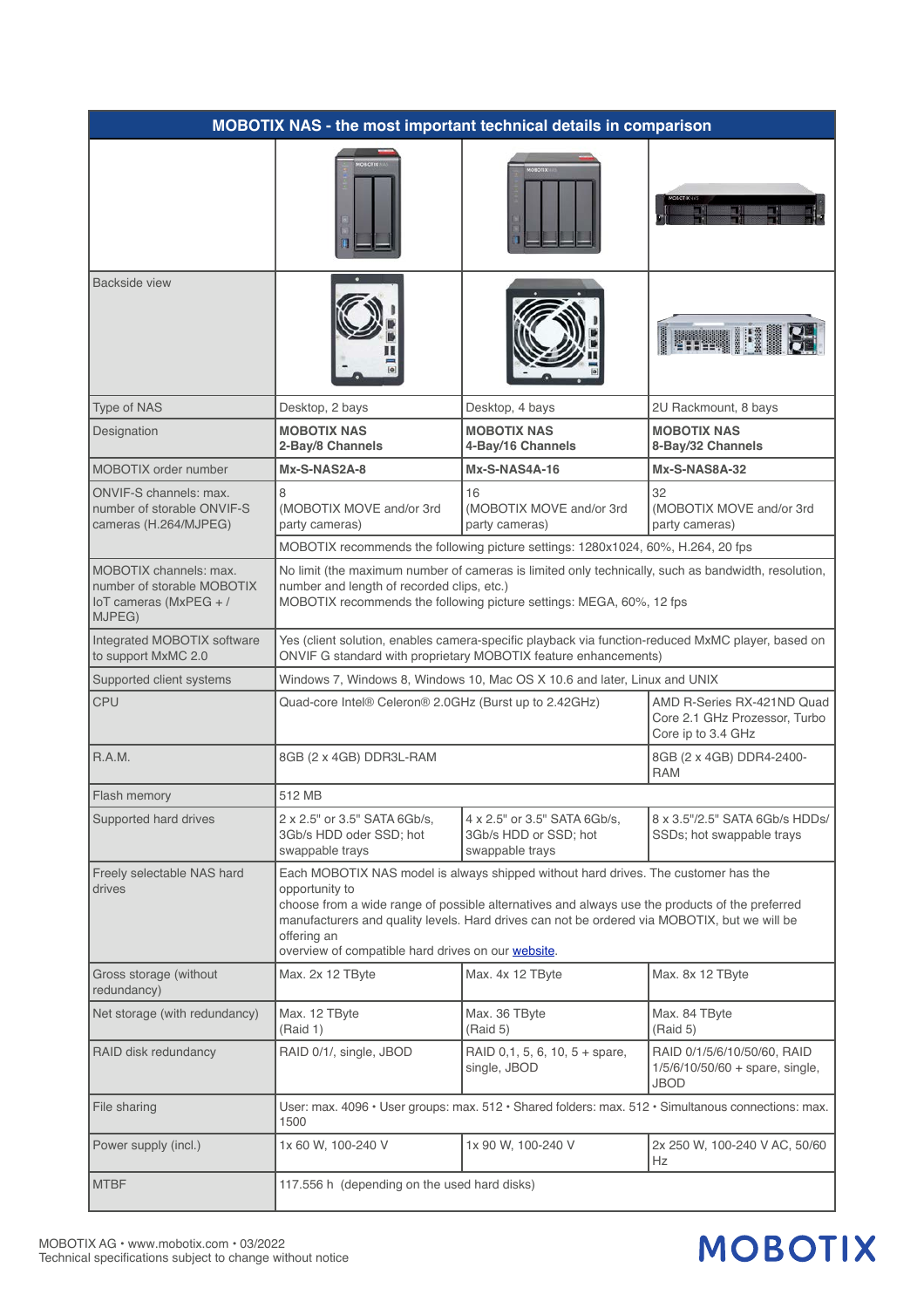| <b>MOBOTIX NAS - the most important technical details in comparison</b>                     |                                                                                                                                                                                                                                                                                                                                                                             |                                                                                                    |                                                                                   |  |
|---------------------------------------------------------------------------------------------|-----------------------------------------------------------------------------------------------------------------------------------------------------------------------------------------------------------------------------------------------------------------------------------------------------------------------------------------------------------------------------|----------------------------------------------------------------------------------------------------|-----------------------------------------------------------------------------------|--|
|                                                                                             |                                                                                                                                                                                                                                                                                                                                                                             |                                                                                                    |                                                                                   |  |
| Backside view                                                                               |                                                                                                                                                                                                                                                                                                                                                                             |                                                                                                    |                                                                                   |  |
| Type of NAS                                                                                 | Desktop, 2 bays                                                                                                                                                                                                                                                                                                                                                             | Desktop, 4 bays                                                                                    | 2U Rackmount, 8 bays                                                              |  |
| Designation                                                                                 | <b>MOBOTIX NAS</b><br>2-Bay/8 Channels                                                                                                                                                                                                                                                                                                                                      | <b>MOBOTIX NAS</b><br>4-Bay/16 Channels                                                            | <b>MOBOTIX NAS</b><br>8-Bay/32 Channels                                           |  |
| MOBOTIX order number                                                                        | Mx-S-NAS2A-8                                                                                                                                                                                                                                                                                                                                                                | Mx-S-NAS4A-16                                                                                      | Mx-S-NAS8A-32                                                                     |  |
| ONVIF-S channels: max.<br>number of storable ONVIF-S<br>cameras (H.264/MJPEG)               | 8<br>(MOBOTIX MOVE and/or 3rd<br>party cameras)                                                                                                                                                                                                                                                                                                                             | 16<br>(MOBOTIX MOVE and/or 3rd<br>party cameras)                                                   | 32<br>(MOBOTIX MOVE and/or 3rd<br>party cameras)                                  |  |
|                                                                                             | MOBOTIX recommends the following picture settings: 1280x1024, 60%, H.264, 20 fps                                                                                                                                                                                                                                                                                            |                                                                                                    |                                                                                   |  |
| MOBOTIX channels: max.<br>number of storable MOBOTIX<br>IoT cameras ( $MxPEG + /$<br>MJPEG) | No limit (the maximum number of cameras is limited only technically, such as bandwidth, resolution,<br>number and length of recorded clips, etc.)<br>MOBOTIX recommends the following picture settings: MEGA, 60%, 12 fps                                                                                                                                                   |                                                                                                    |                                                                                   |  |
| Integrated MOBOTIX software<br>to support MxMC 2.0                                          | Yes (client solution, enables camera-specific playback via function-reduced MxMC player, based on<br>ONVIF G standard with proprietary MOBOTIX feature enhancements)                                                                                                                                                                                                        |                                                                                                    |                                                                                   |  |
| Supported client systems                                                                    |                                                                                                                                                                                                                                                                                                                                                                             | Windows 7, Windows 8, Windows 10, Mac OS X 10.6 and later, Linux and UNIX                          |                                                                                   |  |
| <b>CPU</b>                                                                                  | Quad-core Intel® Celeron® 2.0GHz (Burst up to 2.42GHz)                                                                                                                                                                                                                                                                                                                      |                                                                                                    | AMD R-Series RX-421ND Quad<br>Core 2.1 GHz Prozessor, Turbo<br>Core ip to 3.4 GHz |  |
| R.A.M.                                                                                      | 8GB (2 x 4GB) DDR3L-RAM                                                                                                                                                                                                                                                                                                                                                     |                                                                                                    | 8GB (2 x 4GB) DDR4-2400-<br><b>RAM</b>                                            |  |
| Flash memory                                                                                | 512 MB                                                                                                                                                                                                                                                                                                                                                                      |                                                                                                    |                                                                                   |  |
| Supported hard drives                                                                       | 2 x 2.5" or 3.5" SATA 6Gb/s,<br>3Gb/s HDD oder SSD; hot<br>swappable trays                                                                                                                                                                                                                                                                                                  | 4 x 2.5" or 3.5" SATA 6Gb/s,<br>3Gb/s HDD or SSD; hot<br>swappable trays                           | 8 x 3.5"/2.5" SATA 6Gb/s HDDs/<br>SSDs; hot swappable trays                       |  |
| Freely selectable NAS hard<br>drives                                                        | Each MOBOTIX NAS model is always shipped without hard drives. The customer has the<br>opportunity to<br>choose from a wide range of possible alternatives and always use the products of the preferred<br>manufacturers and quality levels. Hard drives can not be ordered via MOBOTIX, but we will be<br>offering an<br>overview of compatible hard drives on our website. |                                                                                                    |                                                                                   |  |
| Gross storage (without<br>redundancy)                                                       | Max. 2x 12 TByte                                                                                                                                                                                                                                                                                                                                                            | Max. 4x 12 TByte                                                                                   | Max. 8x 12 TByte                                                                  |  |
| Net storage (with redundancy)                                                               | Max. 12 TByte<br>(Raid 1)                                                                                                                                                                                                                                                                                                                                                   | Max. 36 TByte<br>(Raid 5)                                                                          | Max. 84 TByte<br>(Raid 5)                                                         |  |
| RAID disk redundancy<br>RAID 0/1/, single, JBOD                                             |                                                                                                                                                                                                                                                                                                                                                                             | RAID 0,1, 5, 6, 10, 5 + spare,<br>single, JBOD                                                     | RAID 0/1/5/6/10/50/60, RAID<br>1/5/6/10/50/60 + spare, single,<br>JBOD            |  |
| File sharing                                                                                | 1500                                                                                                                                                                                                                                                                                                                                                                        | User: max. 4096 • User groups: max. 512 • Shared folders: max. 512 • Simultanous connections: max. |                                                                                   |  |
| Power supply (incl.)<br>1x 60 W, 100-240 V                                                  |                                                                                                                                                                                                                                                                                                                                                                             | 1x 90 W, 100-240 V                                                                                 | 2x 250 W, 100-240 V AC, 50/60<br>Hz                                               |  |
| <b>MTBF</b>                                                                                 | 117.556 h (depending on the used hard disks)                                                                                                                                                                                                                                                                                                                                |                                                                                                    |                                                                                   |  |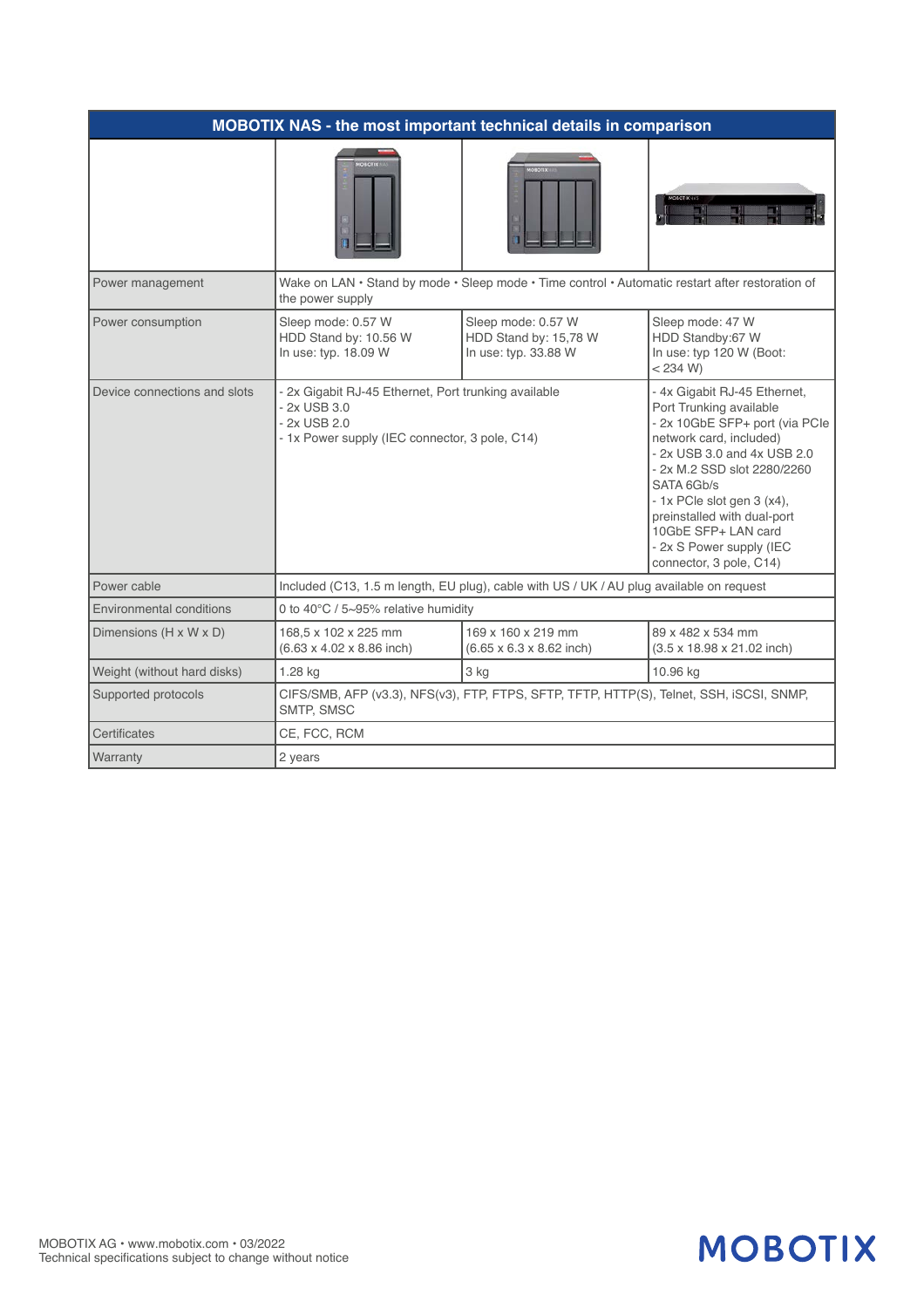| <b>MOBOTIX NAS - the most important technical details in comparison</b> |                                                                                                                                        |                                                                     |                                                                                                                                                                                                                                                                                                                                             |  |  |
|-------------------------------------------------------------------------|----------------------------------------------------------------------------------------------------------------------------------------|---------------------------------------------------------------------|---------------------------------------------------------------------------------------------------------------------------------------------------------------------------------------------------------------------------------------------------------------------------------------------------------------------------------------------|--|--|
|                                                                         |                                                                                                                                        |                                                                     |                                                                                                                                                                                                                                                                                                                                             |  |  |
| Power management                                                        | Wake on LAN • Stand by mode • Sleep mode • Time control • Automatic restart after restoration of<br>the power supply                   |                                                                     |                                                                                                                                                                                                                                                                                                                                             |  |  |
| Power consumption                                                       | Sleep mode: 0.57 W<br>HDD Stand by: 10.56 W<br>In use: typ. 18.09 W                                                                    | Sleep mode: 0.57 W<br>HDD Stand by: 15,78 W<br>In use: typ. 33.88 W | Sleep mode: 47 W<br>HDD Standby:67 W<br>In use: typ 120 W (Boot:<br>< 234 W                                                                                                                                                                                                                                                                 |  |  |
| Device connections and slots                                            | - 2x Gigabit RJ-45 Ethernet, Port trunking available<br>- 2x USB 3.0<br>- 2x USB 2.0<br>- 1x Power supply (IEC connector, 3 pole, C14) |                                                                     | - 4x Gigabit RJ-45 Ethernet,<br>Port Trunking available<br>- 2x 10GbE SFP+ port (via PCle<br>network card, included)<br>- 2x USB 3.0 and 4x USB 2.0<br>- 2x M.2 SSD slot 2280/2260<br>SATA 6Gb/s<br>- 1x PCle slot gen 3 (x4),<br>preinstalled with dual-port<br>10GbE SFP+ LAN card<br>- 2x S Power supply (IEC<br>connector, 3 pole, C14) |  |  |
| Power cable                                                             | Included (C13, 1.5 m length, EU plug), cable with US / UK / AU plug available on request                                               |                                                                     |                                                                                                                                                                                                                                                                                                                                             |  |  |
| Environmental conditions                                                | 0 to 40°C / 5~95% relative humidity                                                                                                    |                                                                     |                                                                                                                                                                                                                                                                                                                                             |  |  |
| Dimensions (H x W x D)                                                  | 168,5 x 102 x 225 mm<br>$(6.63 \times 4.02 \times 8.86$ inch)                                                                          | 169 x 160 x 219 mm<br>$(6.65 \times 6.3 \times 8.62$ inch)          | 89 x 482 x 534 mm<br>$(3.5 \times 18.98 \times 21.02$ inch)                                                                                                                                                                                                                                                                                 |  |  |
| Weight (without hard disks)                                             | 1.28 kg                                                                                                                                | 3 kg                                                                | 10.96 kg                                                                                                                                                                                                                                                                                                                                    |  |  |
| Supported protocols                                                     | CIFS/SMB, AFP (v3.3), NFS(v3), FTP, FTPS, SFTP, TFTP, HTTP(S), Telnet, SSH, iSCSI, SNMP,<br>SMTP, SMSC                                 |                                                                     |                                                                                                                                                                                                                                                                                                                                             |  |  |
| Certificates                                                            | CE, FCC, RCM                                                                                                                           |                                                                     |                                                                                                                                                                                                                                                                                                                                             |  |  |
| Warranty                                                                | 2 years                                                                                                                                |                                                                     |                                                                                                                                                                                                                                                                                                                                             |  |  |

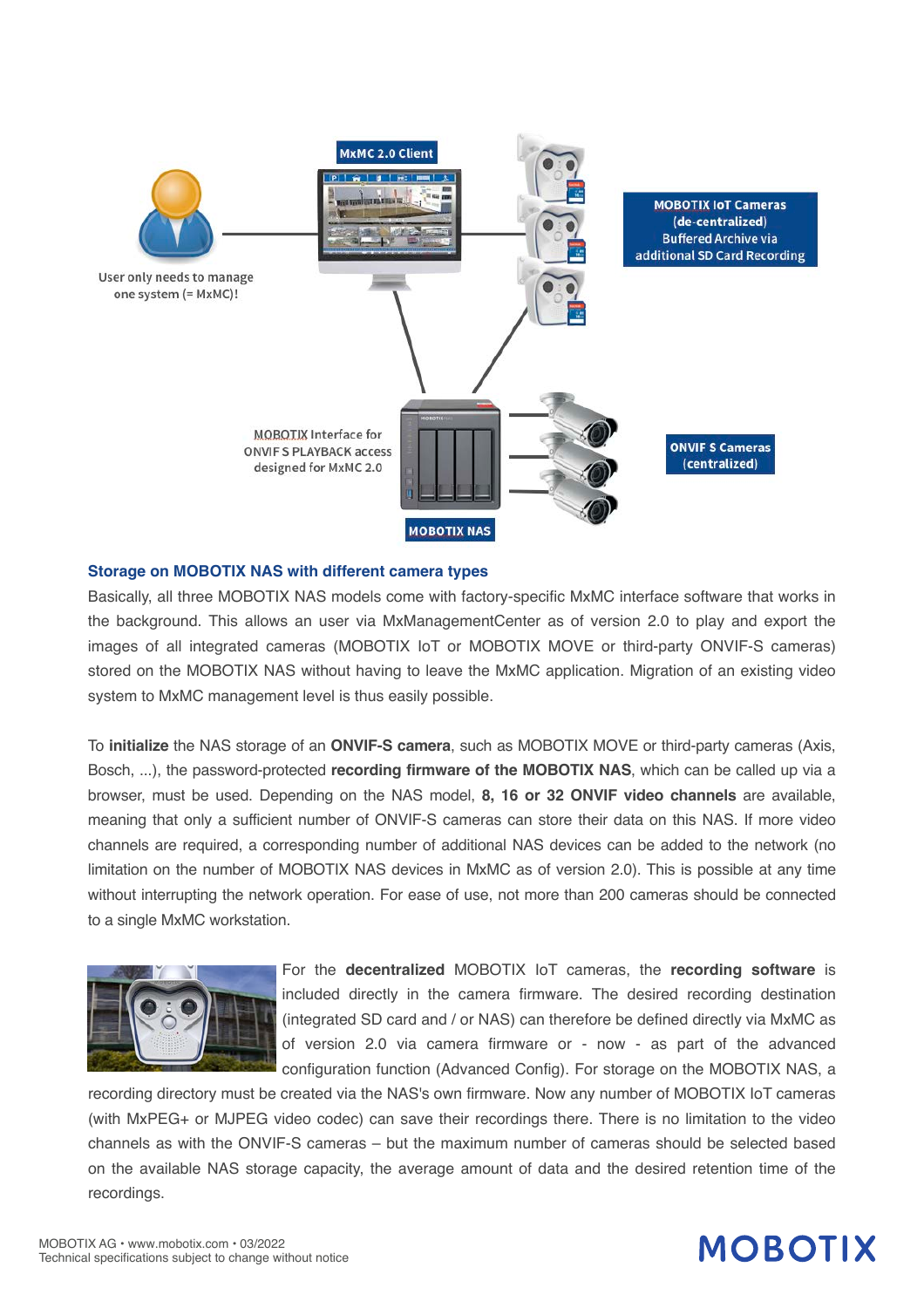

#### **Storage on MOBOTIX NAS with different camera types**

Basically, all three MOBOTIX NAS models come with factory-specific MxMC interface software that works in the background. This allows an user via MxManagementCenter as of version 2.0 to play and export the images of all integrated cameras (MOBOTIX IoT or MOBOTIX MOVE or third-party ONVIF-S cameras) stored on the MOBOTIX NAS without having to leave the MxMC application. Migration of an existing video system to MxMC management level is thus easily possible.

To **initialize** the NAS storage of an **ONVIF-S camera**, such as MOBOTIX MOVE or third-party cameras (Axis, Bosch, ...), the password-protected **recording firmware of the MOBOTIX NAS**, which can be called up via a browser, must be used. Depending on the NAS model, **8, 16 or 32 ONVIF video channels** are available, meaning that only a sufficient number of ONVIF-S cameras can store their data on this NAS. If more video channels are required, a corresponding number of additional NAS devices can be added to the network (no limitation on the number of MOBOTIX NAS devices in MxMC as of version 2.0). This is possible at any time without interrupting the network operation. For ease of use, not more than 200 cameras should be connected to a single MxMC workstation.



For the **decentralized** MOBOTIX IoT cameras, the **recording software** is included directly in the camera firmware. The desired recording destination (integrated SD card and / or NAS) can therefore be defined directly via MxMC as of version 2.0 via camera firmware or - now - as part of the advanced configuration function (Advanced Config). For storage on the MOBOTIX NAS, a

recording directory must be created via the NAS's own firmware. Now any number of MOBOTIX IoT cameras (with MxPEG+ or MJPEG video codec) can save their recordings there. There is no limitation to the video channels as with the ONVIF-S cameras – but the maximum number of cameras should be selected based on the available NAS storage capacity, the average amount of data and the desired retention time of the recordings.